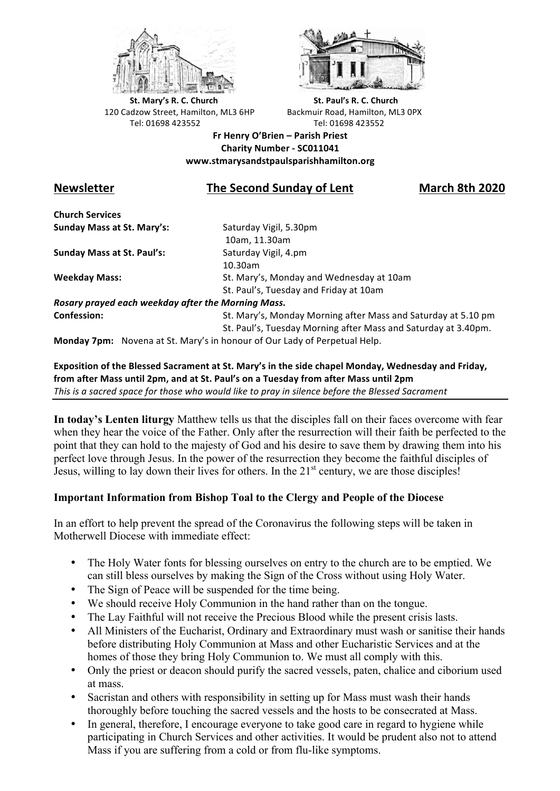



**St.** Mary's R. C. Church St. Paul's R. C. Church 120 Cadzow Street, Hamilton, ML3 6HP Backmuir Road, Hamilton, ML3 0PX Tel: 01698 423552 Tel: 01698 423552

**Fr Henry O'Brien – Parish Priest Charity Number - SC011041 www.stmarysandstpaulsparishhamilton.org**

# **Newsletter The Second Sunday of Lent March 8th 2020**

**Church Services Sunday Mass at St. Mary's:** Saturday Vigil, 5.30pm

**Sunday Mass at St. Paul's:** Saturday Vigil, 4.pm

 10am, 11.30am 10.30am **Weekday Mass:** St. Mary's, Monday and Wednesday at 10am St. Paul's, Tuesday and Friday at 10am

*Rosary prayed each weekday after the Morning Mass.* **Confession:** St. Mary's, Monday Morning after Mass and Saturday at 5.10 pm

St. Paul's, Tuesday Morning after Mass and Saturday at 3.40pm.

**Monday 7pm:** Novena at St. Mary's in honour of Our Lady of Perpetual Help.

## Exposition of the Blessed Sacrament at St. Mary's in the side chapel Monday, Wednesday and Friday, from after Mass until 2pm, and at St. Paul's on a Tuesday from after Mass until 2pm This is a sacred space for those who would like to pray in silence before the Blessed Sacrament

**In today's Lenten liturgy** Matthew tells us that the disciples fall on their faces overcome with fear when they hear the voice of the Father. Only after the resurrection will their faith be perfected to the point that they can hold to the majesty of God and his desire to save them by drawing them into his perfect love through Jesus. In the power of the resurrection they become the faithful disciples of Jesus, willing to lay down their lives for others. In the  $21<sup>st</sup>$  century, we are those disciples!

# **Important Information from Bishop Toal to the Clergy and People of the Diocese**

In an effort to help prevent the spread of the Coronavirus the following steps will be taken in Motherwell Diocese with immediate effect:

- The Holy Water fonts for blessing ourselves on entry to the church are to be emptied. We can still bless ourselves by making the Sign of the Cross without using Holy Water.
- The Sign of Peace will be suspended for the time being.
- We should receive Holy Communion in the hand rather than on the tongue.
- The Lay Faithful will not receive the Precious Blood while the present crisis lasts.
- All Ministers of the Eucharist, Ordinary and Extraordinary must wash or sanitise their hands before distributing Holy Communion at Mass and other Eucharistic Services and at the homes of those they bring Holy Communion to. We must all comply with this.
- Only the priest or deacon should purify the sacred vessels, paten, chalice and ciborium used at mass.
- Sacristan and others with responsibility in setting up for Mass must wash their hands thoroughly before touching the sacred vessels and the hosts to be consecrated at Mass.
- In general, therefore, I encourage everyone to take good care in regard to hygiene while participating in Church Services and other activities. It would be prudent also not to attend Mass if you are suffering from a cold or from flu-like symptoms.